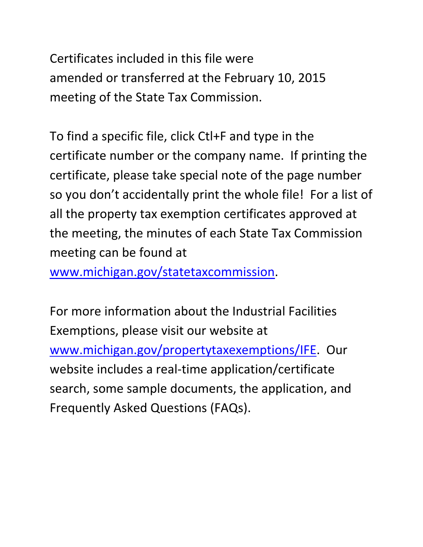Certificates included in this file were amended or transferred at the February 10, 2015 meeting of the State Tax Commission.

To find a specific file, click Ctl+F and type in the certificate number or the company name. If printing the certificate, please take special note of the page number so you don't accidentally print the whole file! For a list of all the property tax exemption certificates approved at the meeting, the minutes of each State Tax Commission meeting can be found at

www.michigan.gov/statetaxcommission.

For more information about the Industrial Facilities Exemptions, please visit our website at www.michigan.gov/propertytaxexemptions/IFE. Our website includes a real-time application/certificate search, some sample documents, the application, and Frequently Asked Questions (FAQs).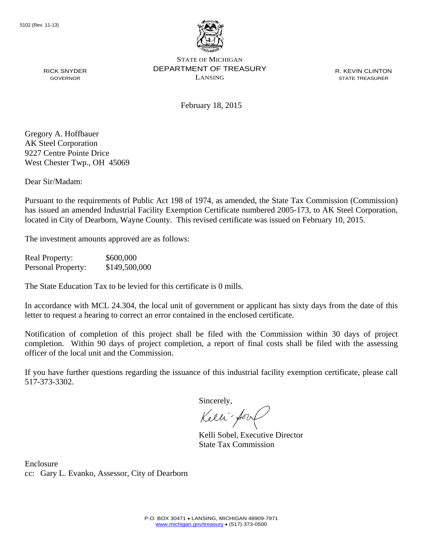

R. KEVIN CLINTON STATE TREASURER

February 18, 2015

Gregory A. Hoffbauer AK Steel Corporation 9227 Centre Pointe Drice West Chester Twp., OH 45069

RICK SNYDER GOVERNOR

Dear Sir/Madam:

Pursuant to the requirements of Public Act 198 of 1974, as amended, the State Tax Commission (Commission) has issued an amended Industrial Facility Exemption Certificate numbered 2005-173, to AK Steel Corporation, located in City of Dearborn, Wayne County. This revised certificate was issued on February 10, 2015.

The investment amounts approved are as follows:

Real Property: \$600,000 Personal Property: \$149,500,000

The State Education Tax to be levied for this certificate is 0 mills.

In accordance with MCL 24.304, the local unit of government or applicant has sixty days from the date of this letter to request a hearing to correct an error contained in the enclosed certificate.

Notification of completion of this project shall be filed with the Commission within 30 days of project completion. Within 90 days of project completion, a report of final costs shall be filed with the assessing officer of the local unit and the Commission.

If you have further questions regarding the issuance of this industrial facility exemption certificate, please call 517-373-3302.

Sincerely,

Kelli-Sorr

Kelli Sobel, Executive Director State Tax Commission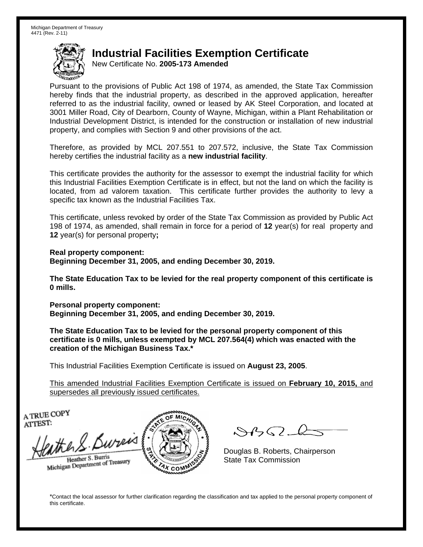New Certificate No. **2005-173 Amended**

Pursuant to the provisions of Public Act 198 of 1974, as amended, the State Tax Commission hereby finds that the industrial property, as described in the approved application, hereafter referred to as the industrial facility, owned or leased by AK Steel Corporation, and located at 3001 Miller Road, City of Dearborn, County of Wayne, Michigan, within a Plant Rehabilitation or Industrial Development District, is intended for the construction or installation of new industrial property, and complies with Section 9 and other provisions of the act.

Therefore, as provided by MCL 207.551 to 207.572, inclusive, the State Tax Commission hereby certifies the industrial facility as a **new industrial facility**.

This certificate provides the authority for the assessor to exempt the industrial facility for which this Industrial Facilities Exemption Certificate is in effect, but not the land on which the facility is located, from ad valorem taxation. This certificate further provides the authority to levy a specific tax known as the Industrial Facilities Tax.

This certificate, unless revoked by order of the State Tax Commission as provided by Public Act 198 of 1974, as amended, shall remain in force for a period of **12** year(s) for real property and **12** year(s) for personal property**;** 

**Real property component: Beginning December 31, 2005, and ending December 30, 2019.** 

**The State Education Tax to be levied for the real property component of this certificate is 0 mills.**

**Personal property component: Beginning December 31, 2005, and ending December 30, 2019.** 

**The State Education Tax to be levied for the personal property component of this certificate is 0 mills, unless exempted by MCL 207.564(4) which was enacted with the creation of the Michigan Business Tax.\***

This Industrial Facilities Exemption Certificate is issued on **August 23, 2005**.

This amended Industrial Facilities Exemption Certificate is issued on **February 10, 2015,** and supersedes all previously issued certificates.

A TRUE COPY ATTEST:

the S. Bureis Heather S. Burris

Heather S. Burns<br>Michigan Department of Treasury



 $\mathcal{A}(\mathcal{C})$ 

Douglas B. Roberts, Chairperson State Tax Commission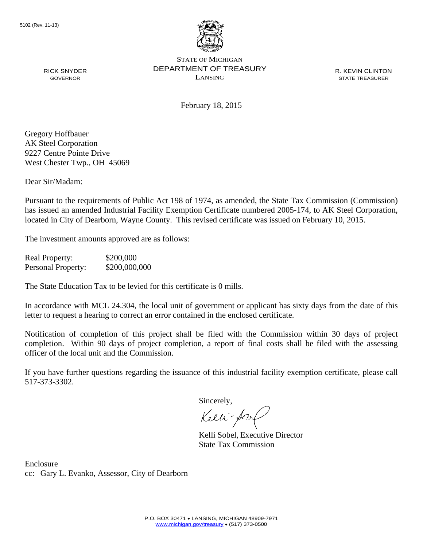

R. KEVIN CLINTON STATE TREASURER

February 18, 2015

Gregory Hoffbauer AK Steel Corporation 9227 Centre Pointe Drive West Chester Twp., OH 45069

RICK SNYDER GOVERNOR

Dear Sir/Madam:

Pursuant to the requirements of Public Act 198 of 1974, as amended, the State Tax Commission (Commission) has issued an amended Industrial Facility Exemption Certificate numbered 2005-174, to AK Steel Corporation, located in City of Dearborn, Wayne County. This revised certificate was issued on February 10, 2015.

The investment amounts approved are as follows:

Real Property: \$200,000 Personal Property:  $$200,000,000$ 

The State Education Tax to be levied for this certificate is 0 mills.

In accordance with MCL 24.304, the local unit of government or applicant has sixty days from the date of this letter to request a hearing to correct an error contained in the enclosed certificate.

Notification of completion of this project shall be filed with the Commission within 30 days of project completion. Within 90 days of project completion, a report of final costs shall be filed with the assessing officer of the local unit and the Commission.

If you have further questions regarding the issuance of this industrial facility exemption certificate, please call 517-373-3302.

Sincerely,

Kelli-Sorr

Kelli Sobel, Executive Director State Tax Commission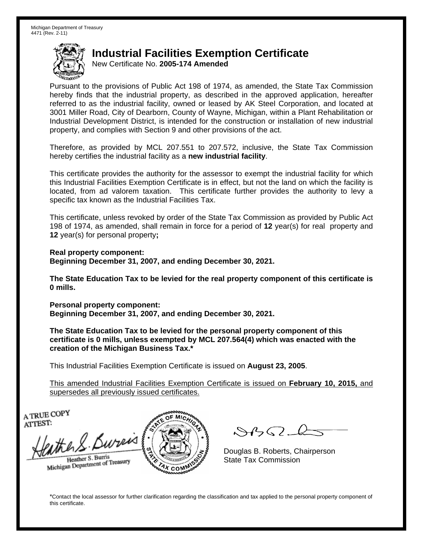New Certificate No. **2005-174 Amended**

Pursuant to the provisions of Public Act 198 of 1974, as amended, the State Tax Commission hereby finds that the industrial property, as described in the approved application, hereafter referred to as the industrial facility, owned or leased by AK Steel Corporation, and located at 3001 Miller Road, City of Dearborn, County of Wayne, Michigan, within a Plant Rehabilitation or Industrial Development District, is intended for the construction or installation of new industrial property, and complies with Section 9 and other provisions of the act.

Therefore, as provided by MCL 207.551 to 207.572, inclusive, the State Tax Commission hereby certifies the industrial facility as a **new industrial facility**.

This certificate provides the authority for the assessor to exempt the industrial facility for which this Industrial Facilities Exemption Certificate is in effect, but not the land on which the facility is located, from ad valorem taxation. This certificate further provides the authority to levy a specific tax known as the Industrial Facilities Tax.

This certificate, unless revoked by order of the State Tax Commission as provided by Public Act 198 of 1974, as amended, shall remain in force for a period of **12** year(s) for real property and **12** year(s) for personal property**;** 

**Real property component: Beginning December 31, 2007, and ending December 30, 2021.** 

**The State Education Tax to be levied for the real property component of this certificate is 0 mills.**

**Personal property component: Beginning December 31, 2007, and ending December 30, 2021.** 

**The State Education Tax to be levied for the personal property component of this certificate is 0 mills, unless exempted by MCL 207.564(4) which was enacted with the creation of the Michigan Business Tax.\***

This Industrial Facilities Exemption Certificate is issued on **August 23, 2005**.

This amended Industrial Facilities Exemption Certificate is issued on **February 10, 2015,** and supersedes all previously issued certificates.

A TRUE COPY ATTEST:

the S. Bureis Heather S. Burris

Heather S. Burns<br>Michigan Department of Treasury



 $\mathcal{A}(\mathcal{C})$ 

Douglas B. Roberts, Chairperson State Tax Commission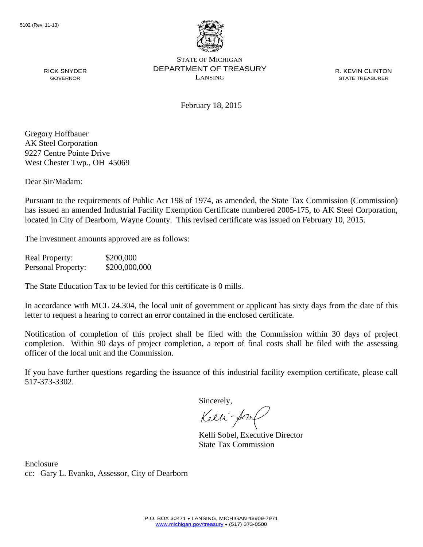

R. KEVIN CLINTON STATE TREASURER

February 18, 2015

Gregory Hoffbauer AK Steel Corporation 9227 Centre Pointe Drive West Chester Twp., OH 45069

RICK SNYDER GOVERNOR

Dear Sir/Madam:

Pursuant to the requirements of Public Act 198 of 1974, as amended, the State Tax Commission (Commission) has issued an amended Industrial Facility Exemption Certificate numbered 2005-175, to AK Steel Corporation, located in City of Dearborn, Wayne County. This revised certificate was issued on February 10, 2015.

The investment amounts approved are as follows:

Real Property: \$200,000 Personal Property:  $$200,000,000$ 

The State Education Tax to be levied for this certificate is 0 mills.

In accordance with MCL 24.304, the local unit of government or applicant has sixty days from the date of this letter to request a hearing to correct an error contained in the enclosed certificate.

Notification of completion of this project shall be filed with the Commission within 30 days of project completion. Within 90 days of project completion, a report of final costs shall be filed with the assessing officer of the local unit and the Commission.

If you have further questions regarding the issuance of this industrial facility exemption certificate, please call 517-373-3302.

Sincerely,

Kelli-Sorr

Kelli Sobel, Executive Director State Tax Commission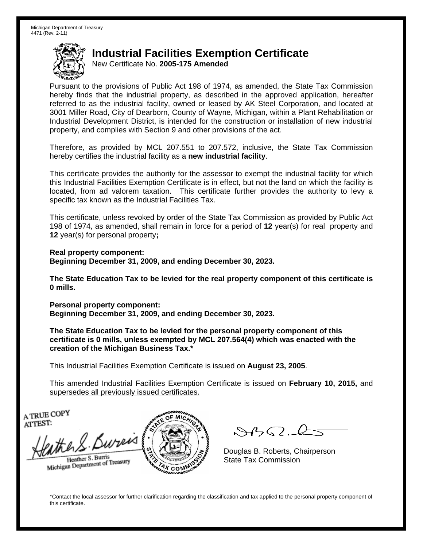New Certificate No. **2005-175 Amended**

Pursuant to the provisions of Public Act 198 of 1974, as amended, the State Tax Commission hereby finds that the industrial property, as described in the approved application, hereafter referred to as the industrial facility, owned or leased by AK Steel Corporation, and located at 3001 Miller Road, City of Dearborn, County of Wayne, Michigan, within a Plant Rehabilitation or Industrial Development District, is intended for the construction or installation of new industrial property, and complies with Section 9 and other provisions of the act.

Therefore, as provided by MCL 207.551 to 207.572, inclusive, the State Tax Commission hereby certifies the industrial facility as a **new industrial facility**.

This certificate provides the authority for the assessor to exempt the industrial facility for which this Industrial Facilities Exemption Certificate is in effect, but not the land on which the facility is located, from ad valorem taxation. This certificate further provides the authority to levy a specific tax known as the Industrial Facilities Tax.

This certificate, unless revoked by order of the State Tax Commission as provided by Public Act 198 of 1974, as amended, shall remain in force for a period of **12** year(s) for real property and **12** year(s) for personal property**;** 

**Real property component: Beginning December 31, 2009, and ending December 30, 2023.** 

**The State Education Tax to be levied for the real property component of this certificate is 0 mills.**

**Personal property component: Beginning December 31, 2009, and ending December 30, 2023.** 

**The State Education Tax to be levied for the personal property component of this certificate is 0 mills, unless exempted by MCL 207.564(4) which was enacted with the creation of the Michigan Business Tax.\***

This Industrial Facilities Exemption Certificate is issued on **August 23, 2005**.

This amended Industrial Facilities Exemption Certificate is issued on **February 10, 2015,** and supersedes all previously issued certificates.

A TRUE COPY ATTEST:

the S. Bureis Heather S. Burris

Heather S. Burns<br>Michigan Department of Treasury



 $\mathcal{A}(\mathcal{C})$ 

Douglas B. Roberts, Chairperson State Tax Commission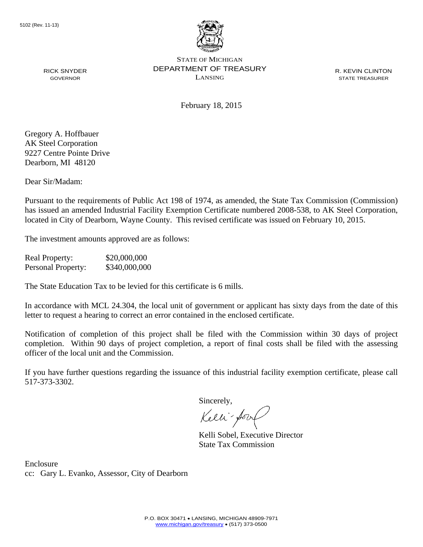

R. KEVIN CLINTON STATE TREASURER

February 18, 2015

RICK SNYDER GOVERNOR

Gregory A. Hoffbauer AK Steel Corporation 9227 Centre Pointe Drive Dearborn, MI 48120

Dear Sir/Madam:

Pursuant to the requirements of Public Act 198 of 1974, as amended, the State Tax Commission (Commission) has issued an amended Industrial Facility Exemption Certificate numbered 2008-538, to AK Steel Corporation, located in City of Dearborn, Wayne County. This revised certificate was issued on February 10, 2015.

The investment amounts approved are as follows:

Real Property: \$20,000,000 Personal Property: \$340,000,000

The State Education Tax to be levied for this certificate is 6 mills.

In accordance with MCL 24.304, the local unit of government or applicant has sixty days from the date of this letter to request a hearing to correct an error contained in the enclosed certificate.

Notification of completion of this project shall be filed with the Commission within 30 days of project completion. Within 90 days of project completion, a report of final costs shall be filed with the assessing officer of the local unit and the Commission.

If you have further questions regarding the issuance of this industrial facility exemption certificate, please call 517-373-3302.

Sincerely,

Kelli-Sorr

Kelli Sobel, Executive Director State Tax Commission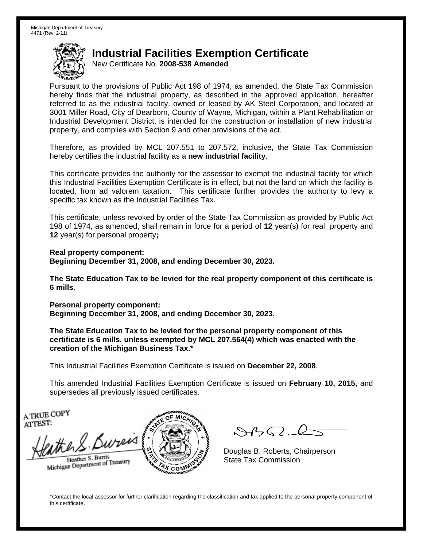New Certificate No. **2008-538 Amended**

Pursuant to the provisions of Public Act 198 of 1974, as amended, the State Tax Commission hereby finds that the industrial property, as described in the approved application, hereafter referred to as the industrial facility, owned or leased by AK Steel Corporation, and located at 3001 Miller Road, City of Dearborn, County of Wayne, Michigan, within a Plant Rehabilitation or Industrial Development District, is intended for the construction or installation of new industrial property, and complies with Section 9 and other provisions of the act.

Therefore, as provided by MCL 207.551 to 207.572, inclusive, the State Tax Commission hereby certifies the industrial facility as a **new industrial facility**.

This certificate provides the authority for the assessor to exempt the industrial facility for which this Industrial Facilities Exemption Certificate is in effect, but not the land on which the facility is located, from ad valorem taxation. This certificate further provides the authority to levy a specific tax known as the Industrial Facilities Tax.

This certificate, unless revoked by order of the State Tax Commission as provided by Public Act 198 of 1974, as amended, shall remain in force for a period of **12** year(s) for real property and **12** year(s) for personal property**;** 

**Real property component: Beginning December 31, 2008, and ending December 30, 2023.** 

**The State Education Tax to be levied for the real property component of this certificate is 6 mills.**

**Personal property component: Beginning December 31, 2008, and ending December 30, 2023.** 

**The State Education Tax to be levied for the personal property component of this certificate is 6 mills, unless exempted by MCL 207.564(4) which was enacted with the creation of the Michigan Business Tax.\***

This Industrial Facilities Exemption Certificate is issued on **December 22, 2008**.

This amended Industrial Facilities Exemption Certificate is issued on **February 10, 2015,** and supersedes all previously issued certificates.

A TRUE COPY ATTEST:

the S. Bureis Heather S. Burris

Heather S. Burns<br>Michigan Department of Treasury



 $\mathcal{A}(\mathcal{C})$ 

Douglas B. Roberts, Chairperson State Tax Commission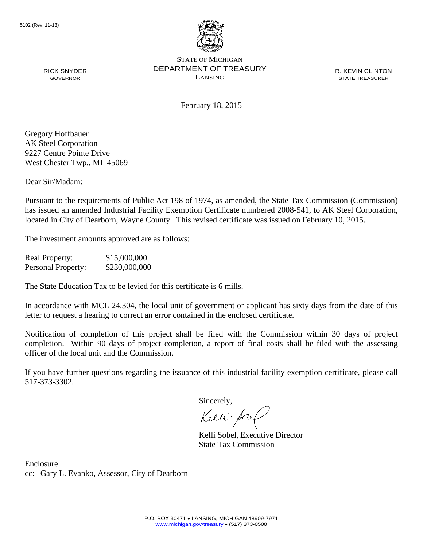

R. KEVIN CLINTON STATE TREASURER

February 18, 2015

RICK SNYDER GOVERNOR

Gregory Hoffbauer AK Steel Corporation 9227 Centre Pointe Drive West Chester Twp., MI 45069

Dear Sir/Madam:

Pursuant to the requirements of Public Act 198 of 1974, as amended, the State Tax Commission (Commission) has issued an amended Industrial Facility Exemption Certificate numbered 2008-541, to AK Steel Corporation, located in City of Dearborn, Wayne County. This revised certificate was issued on February 10, 2015.

The investment amounts approved are as follows:

Real Property: \$15,000,000 Personal Property: \$230,000,000

The State Education Tax to be levied for this certificate is 6 mills.

In accordance with MCL 24.304, the local unit of government or applicant has sixty days from the date of this letter to request a hearing to correct an error contained in the enclosed certificate.

Notification of completion of this project shall be filed with the Commission within 30 days of project completion. Within 90 days of project completion, a report of final costs shall be filed with the assessing officer of the local unit and the Commission.

If you have further questions regarding the issuance of this industrial facility exemption certificate, please call 517-373-3302.

Sincerely,

Kelli-Sorr

Kelli Sobel, Executive Director State Tax Commission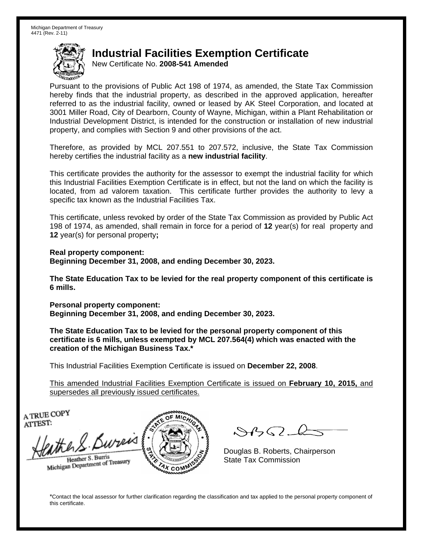New Certificate No. **2008-541 Amended**

Pursuant to the provisions of Public Act 198 of 1974, as amended, the State Tax Commission hereby finds that the industrial property, as described in the approved application, hereafter referred to as the industrial facility, owned or leased by AK Steel Corporation, and located at 3001 Miller Road, City of Dearborn, County of Wayne, Michigan, within a Plant Rehabilitation or Industrial Development District, is intended for the construction or installation of new industrial property, and complies with Section 9 and other provisions of the act.

Therefore, as provided by MCL 207.551 to 207.572, inclusive, the State Tax Commission hereby certifies the industrial facility as a **new industrial facility**.

This certificate provides the authority for the assessor to exempt the industrial facility for which this Industrial Facilities Exemption Certificate is in effect, but not the land on which the facility is located, from ad valorem taxation. This certificate further provides the authority to levy a specific tax known as the Industrial Facilities Tax.

This certificate, unless revoked by order of the State Tax Commission as provided by Public Act 198 of 1974, as amended, shall remain in force for a period of **12** year(s) for real property and **12** year(s) for personal property**;** 

**Real property component: Beginning December 31, 2008, and ending December 30, 2023.** 

**The State Education Tax to be levied for the real property component of this certificate is 6 mills.**

**Personal property component: Beginning December 31, 2008, and ending December 30, 2023.** 

**The State Education Tax to be levied for the personal property component of this certificate is 6 mills, unless exempted by MCL 207.564(4) which was enacted with the creation of the Michigan Business Tax.\***

This Industrial Facilities Exemption Certificate is issued on **December 22, 2008**.

This amended Industrial Facilities Exemption Certificate is issued on **February 10, 2015,** and supersedes all previously issued certificates.

A TRUE COPY ATTEST:

the S. Bureis Heather S. Burris

Heather S. Burns<br>Michigan Department of Treasury



 $\mathcal{A}(\mathcal{C})$ 

Douglas B. Roberts, Chairperson State Tax Commission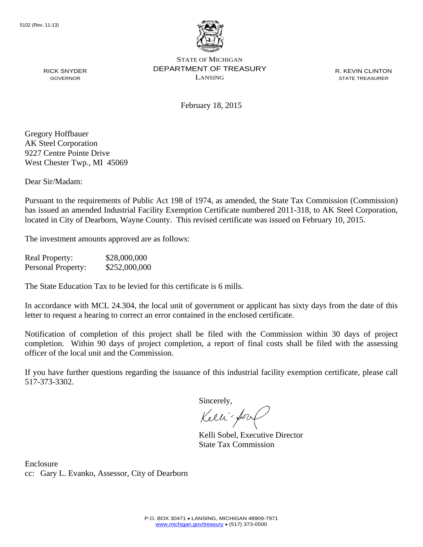

R. KEVIN CLINTON STATE TREASURER

February 18, 2015

RICK SNYDER GOVERNOR

Gregory Hoffbauer AK Steel Corporation 9227 Centre Pointe Drive West Chester Twp., MI 45069

Dear Sir/Madam:

Pursuant to the requirements of Public Act 198 of 1974, as amended, the State Tax Commission (Commission) has issued an amended Industrial Facility Exemption Certificate numbered 2011-318, to AK Steel Corporation, located in City of Dearborn, Wayne County. This revised certificate was issued on February 10, 2015.

The investment amounts approved are as follows:

Real Property: \$28,000,000 Personal Property:  $$252,000,000$ 

The State Education Tax to be levied for this certificate is 6 mills.

In accordance with MCL 24.304, the local unit of government or applicant has sixty days from the date of this letter to request a hearing to correct an error contained in the enclosed certificate.

Notification of completion of this project shall be filed with the Commission within 30 days of project completion. Within 90 days of project completion, a report of final costs shall be filed with the assessing officer of the local unit and the Commission.

If you have further questions regarding the issuance of this industrial facility exemption certificate, please call 517-373-3302.

Sincerely,

Kelli-Sorr

Kelli Sobel, Executive Director State Tax Commission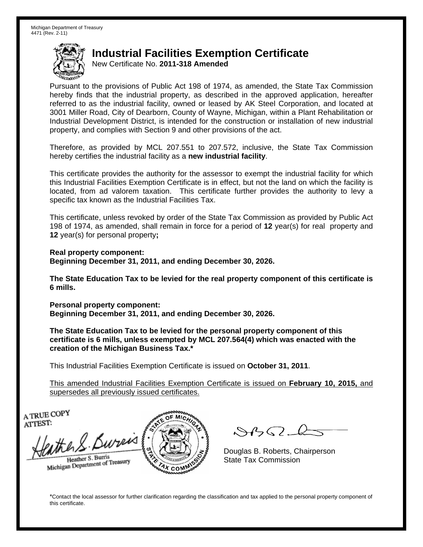New Certificate No. **2011-318 Amended**

Pursuant to the provisions of Public Act 198 of 1974, as amended, the State Tax Commission hereby finds that the industrial property, as described in the approved application, hereafter referred to as the industrial facility, owned or leased by AK Steel Corporation, and located at 3001 Miller Road, City of Dearborn, County of Wayne, Michigan, within a Plant Rehabilitation or Industrial Development District, is intended for the construction or installation of new industrial property, and complies with Section 9 and other provisions of the act.

Therefore, as provided by MCL 207.551 to 207.572, inclusive, the State Tax Commission hereby certifies the industrial facility as a **new industrial facility**.

This certificate provides the authority for the assessor to exempt the industrial facility for which this Industrial Facilities Exemption Certificate is in effect, but not the land on which the facility is located, from ad valorem taxation. This certificate further provides the authority to levy a specific tax known as the Industrial Facilities Tax.

This certificate, unless revoked by order of the State Tax Commission as provided by Public Act 198 of 1974, as amended, shall remain in force for a period of **12** year(s) for real property and **12** year(s) for personal property**;** 

**Real property component: Beginning December 31, 2011, and ending December 30, 2026.** 

**The State Education Tax to be levied for the real property component of this certificate is 6 mills.**

**Personal property component: Beginning December 31, 2011, and ending December 30, 2026.** 

**The State Education Tax to be levied for the personal property component of this certificate is 6 mills, unless exempted by MCL 207.564(4) which was enacted with the creation of the Michigan Business Tax.\***

This Industrial Facilities Exemption Certificate is issued on **October 31, 2011**.

This amended Industrial Facilities Exemption Certificate is issued on **February 10, 2015,** and supersedes all previously issued certificates.

A TRUE COPY ATTEST:

the S. Bureis Heather S. Burris

Heather S. Burns<br>Michigan Department of Treasury



 $\mathcal{A}(\mathcal{C})$ 

Douglas B. Roberts, Chairperson State Tax Commission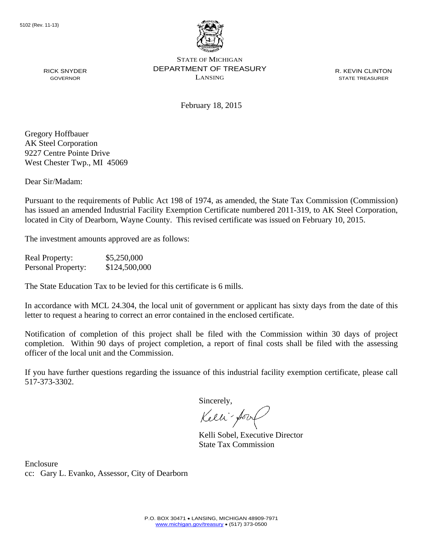

R. KEVIN CLINTON STATE TREASURER

February 18, 2015

RICK SNYDER GOVERNOR

Gregory Hoffbauer AK Steel Corporation 9227 Centre Pointe Drive West Chester Twp., MI 45069

Dear Sir/Madam:

Pursuant to the requirements of Public Act 198 of 1974, as amended, the State Tax Commission (Commission) has issued an amended Industrial Facility Exemption Certificate numbered 2011-319, to AK Steel Corporation, located in City of Dearborn, Wayne County. This revised certificate was issued on February 10, 2015.

The investment amounts approved are as follows:

Real Property: \$5,250,000 Personal Property:  $$124,500,000$ 

The State Education Tax to be levied for this certificate is 6 mills.

In accordance with MCL 24.304, the local unit of government or applicant has sixty days from the date of this letter to request a hearing to correct an error contained in the enclosed certificate.

Notification of completion of this project shall be filed with the Commission within 30 days of project completion. Within 90 days of project completion, a report of final costs shall be filed with the assessing officer of the local unit and the Commission.

If you have further questions regarding the issuance of this industrial facility exemption certificate, please call 517-373-3302.

Sincerely,

Kelli-Sorr

Kelli Sobel, Executive Director State Tax Commission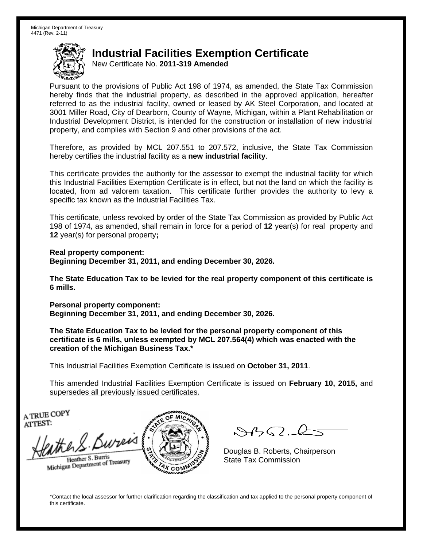New Certificate No. **2011-319 Amended**

Pursuant to the provisions of Public Act 198 of 1974, as amended, the State Tax Commission hereby finds that the industrial property, as described in the approved application, hereafter referred to as the industrial facility, owned or leased by AK Steel Corporation, and located at 3001 Miller Road, City of Dearborn, County of Wayne, Michigan, within a Plant Rehabilitation or Industrial Development District, is intended for the construction or installation of new industrial property, and complies with Section 9 and other provisions of the act.

Therefore, as provided by MCL 207.551 to 207.572, inclusive, the State Tax Commission hereby certifies the industrial facility as a **new industrial facility**.

This certificate provides the authority for the assessor to exempt the industrial facility for which this Industrial Facilities Exemption Certificate is in effect, but not the land on which the facility is located, from ad valorem taxation. This certificate further provides the authority to levy a specific tax known as the Industrial Facilities Tax.

This certificate, unless revoked by order of the State Tax Commission as provided by Public Act 198 of 1974, as amended, shall remain in force for a period of **12** year(s) for real property and **12** year(s) for personal property**;** 

**Real property component: Beginning December 31, 2011, and ending December 30, 2026.** 

**The State Education Tax to be levied for the real property component of this certificate is 6 mills.**

**Personal property component: Beginning December 31, 2011, and ending December 30, 2026.** 

**The State Education Tax to be levied for the personal property component of this certificate is 6 mills, unless exempted by MCL 207.564(4) which was enacted with the creation of the Michigan Business Tax.\***

This Industrial Facilities Exemption Certificate is issued on **October 31, 2011**.

This amended Industrial Facilities Exemption Certificate is issued on **February 10, 2015,** and supersedes all previously issued certificates.

A TRUE COPY ATTEST:

the S. Bureis Heather S. Burris

Heather S. Burns<br>Michigan Department of Treasury



 $\mathcal{A}(\mathcal{C})$ 

Douglas B. Roberts, Chairperson State Tax Commission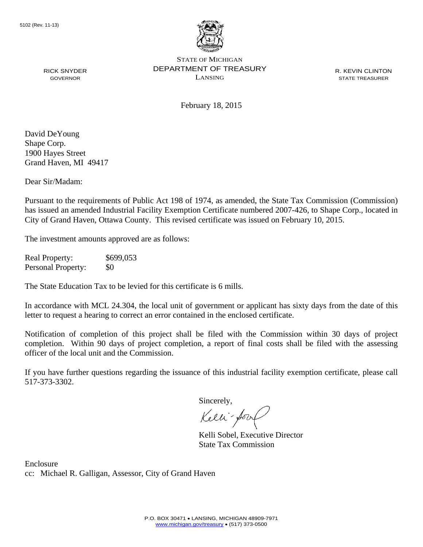

R. KEVIN CLINTON STATE TREASURER

RICK SNYDER GOVERNOR

February 18, 2015

David DeYoung Shape Corp. 1900 Hayes Street Grand Haven, MI 49417

Dear Sir/Madam:

Pursuant to the requirements of Public Act 198 of 1974, as amended, the State Tax Commission (Commission) has issued an amended Industrial Facility Exemption Certificate numbered 2007-426, to Shape Corp., located in City of Grand Haven, Ottawa County. This revised certificate was issued on February 10, 2015.

The investment amounts approved are as follows:

Real Property: \$699,053 Personal Property: \$0

The State Education Tax to be levied for this certificate is 6 mills.

In accordance with MCL 24.304, the local unit of government or applicant has sixty days from the date of this letter to request a hearing to correct an error contained in the enclosed certificate.

Notification of completion of this project shall be filed with the Commission within 30 days of project completion. Within 90 days of project completion, a report of final costs shall be filed with the assessing officer of the local unit and the Commission.

If you have further questions regarding the issuance of this industrial facility exemption certificate, please call 517-373-3302.

Sincerely,

Kelli-Sorr

Kelli Sobel, Executive Director State Tax Commission

Enclosure cc: Michael R. Galligan, Assessor, City of Grand Haven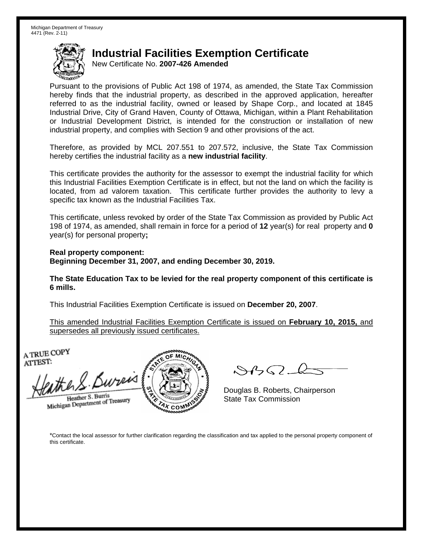New Certificate No. **2007-426 Amended**

Pursuant to the provisions of Public Act 198 of 1974, as amended, the State Tax Commission hereby finds that the industrial property, as described in the approved application, hereafter referred to as the industrial facility, owned or leased by Shape Corp., and located at 1845 Industrial Drive, City of Grand Haven, County of Ottawa, Michigan, within a Plant Rehabilitation or Industrial Development District, is intended for the construction or installation of new industrial property, and complies with Section 9 and other provisions of the act.

Therefore, as provided by MCL 207.551 to 207.572, inclusive, the State Tax Commission hereby certifies the industrial facility as a **new industrial facility**.

This certificate provides the authority for the assessor to exempt the industrial facility for which this Industrial Facilities Exemption Certificate is in effect, but not the land on which the facility is located, from ad valorem taxation. This certificate further provides the authority to levy a specific tax known as the Industrial Facilities Tax.

This certificate, unless revoked by order of the State Tax Commission as provided by Public Act 198 of 1974, as amended, shall remain in force for a period of **12** year(s) for real property and **0** year(s) for personal property**;** 

**Real property component: Beginning December 31, 2007, and ending December 30, 2019.** 

**The State Education Tax to be levied for the real property component of this certificate is 6 mills.**

This Industrial Facilities Exemption Certificate is issued on **December 20, 2007**.

This amended Industrial Facilities Exemption Certificate is issued on **February 10, 2015,** and supersedes all previously issued certificates.

A TRUE COPY ATTEST:

the S. Bureis

Heather S. Burris Heather S. Buris<br>Michigan Department of Treasury



 $\mathcal{S}4\mathcal{G}$ 

Douglas B. Roberts, Chairperson State Tax Commission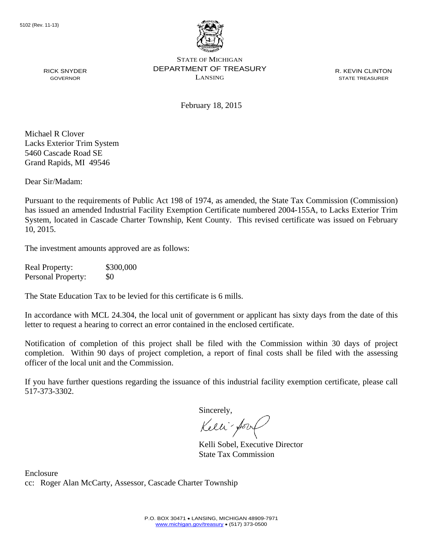

R. KEVIN CLINTON STATE TREASURER

February 18, 2015

Michael R Clover Lacks Exterior Trim System 5460 Cascade Road SE Grand Rapids, MI 49546

RICK SNYDER GOVERNOR

Dear Sir/Madam:

Pursuant to the requirements of Public Act 198 of 1974, as amended, the State Tax Commission (Commission) has issued an amended Industrial Facility Exemption Certificate numbered 2004-155A, to Lacks Exterior Trim System, located in Cascade Charter Township, Kent County. This revised certificate was issued on February 10, 2015.

The investment amounts approved are as follows:

Real Property: \$300,000 Personal Property: \$0

The State Education Tax to be levied for this certificate is 6 mills.

In accordance with MCL 24.304, the local unit of government or applicant has sixty days from the date of this letter to request a hearing to correct an error contained in the enclosed certificate.

Notification of completion of this project shall be filed with the Commission within 30 days of project completion. Within 90 days of project completion, a report of final costs shall be filed with the assessing officer of the local unit and the Commission.

If you have further questions regarding the issuance of this industrial facility exemption certificate, please call 517-373-3302.

Sincerely,

Kelli-fort

Kelli Sobel, Executive Director State Tax Commission

Enclosure cc: Roger Alan McCarty, Assessor, Cascade Charter Township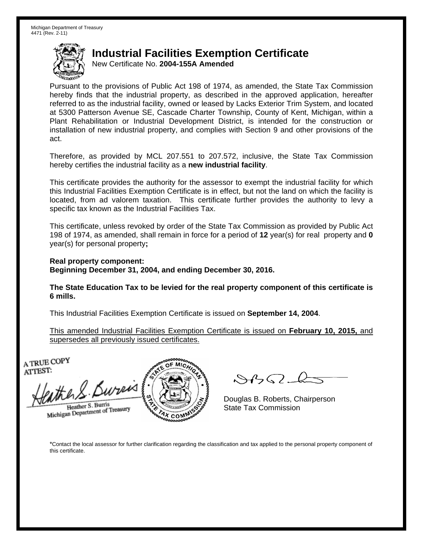New Certificate No. **2004-155A Amended**

Pursuant to the provisions of Public Act 198 of 1974, as amended, the State Tax Commission hereby finds that the industrial property, as described in the approved application, hereafter referred to as the industrial facility, owned or leased by Lacks Exterior Trim System, and located at 5300 Patterson Avenue SE, Cascade Charter Township, County of Kent, Michigan, within a Plant Rehabilitation or Industrial Development District, is intended for the construction or installation of new industrial property, and complies with Section 9 and other provisions of the act.

Therefore, as provided by MCL 207.551 to 207.572, inclusive, the State Tax Commission hereby certifies the industrial facility as a **new industrial facility**.

This certificate provides the authority for the assessor to exempt the industrial facility for which this Industrial Facilities Exemption Certificate is in effect, but not the land on which the facility is located, from ad valorem taxation. This certificate further provides the authority to levy a specific tax known as the Industrial Facilities Tax.

This certificate, unless revoked by order of the State Tax Commission as provided by Public Act 198 of 1974, as amended, shall remain in force for a period of **12** year(s) for real property and **0** year(s) for personal property**;** 

**Real property component: Beginning December 31, 2004, and ending December 30, 2016.** 

**The State Education Tax to be levied for the real property component of this certificate is 6 mills.**

This Industrial Facilities Exemption Certificate is issued on **September 14, 2004**.

This amended Industrial Facilities Exemption Certificate is issued on **February 10, 2015,** and supersedes all previously issued certificates.

A TRUE COPY ATTEST:

He R. Bureis Heather S. Burris

Heather S. Burns<br>Michigan Department of Treasury



 $84562 - 6$ 

Douglas B. Roberts, Chairperson State Tax Commission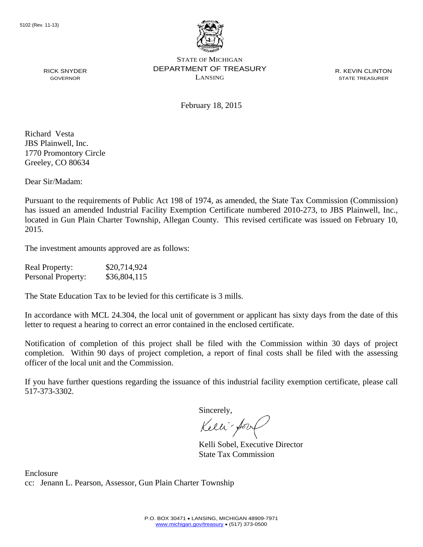

R. KEVIN CLINTON STATE TREASURER

February 18, 2015

Richard Vesta JBS Plainwell, Inc. 1770 Promontory Circle Greeley, CO 80634

RICK SNYDER GOVERNOR

Dear Sir/Madam:

Pursuant to the requirements of Public Act 198 of 1974, as amended, the State Tax Commission (Commission) has issued an amended Industrial Facility Exemption Certificate numbered 2010-273, to JBS Plainwell, Inc., located in Gun Plain Charter Township, Allegan County. This revised certificate was issued on February 10, 2015.

The investment amounts approved are as follows:

| <b>Real Property:</b>     | \$20,714,924 |
|---------------------------|--------------|
| <b>Personal Property:</b> | \$36,804,115 |

The State Education Tax to be levied for this certificate is 3 mills.

In accordance with MCL 24.304, the local unit of government or applicant has sixty days from the date of this letter to request a hearing to correct an error contained in the enclosed certificate.

Notification of completion of this project shall be filed with the Commission within 30 days of project completion. Within 90 days of project completion, a report of final costs shall be filed with the assessing officer of the local unit and the Commission.

If you have further questions regarding the issuance of this industrial facility exemption certificate, please call 517-373-3302.

Sincerely,

Kelli-Sort

Kelli Sobel, Executive Director State Tax Commission

Enclosure cc: Jenann L. Pearson, Assessor, Gun Plain Charter Township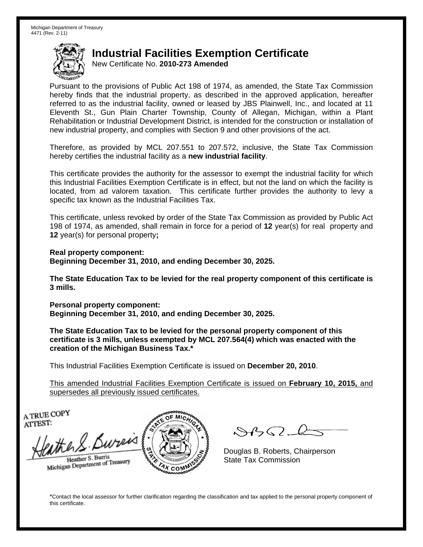New Certificate No. **2010-273 Amended**

Pursuant to the provisions of Public Act 198 of 1974, as amended, the State Tax Commission hereby finds that the industrial property, as described in the approved application, hereafter referred to as the industrial facility, owned or leased by JBS Plainwell, Inc., and located at 11 Eleventh St., Gun Plain Charter Township, County of Allegan, Michigan, within a Plant Rehabilitation or Industrial Development District, is intended for the construction or installation of new industrial property, and complies with Section 9 and other provisions of the act.

Therefore, as provided by MCL 207.551 to 207.572, inclusive, the State Tax Commission hereby certifies the industrial facility as a **new industrial facility**.

This certificate provides the authority for the assessor to exempt the industrial facility for which this Industrial Facilities Exemption Certificate is in effect, but not the land on which the facility is located, from ad valorem taxation. This certificate further provides the authority to levy a specific tax known as the Industrial Facilities Tax.

This certificate, unless revoked by order of the State Tax Commission as provided by Public Act 198 of 1974, as amended, shall remain in force for a period of **12** year(s) for real property and **12** year(s) for personal property**;** 

**Real property component: Beginning December 31, 2010, and ending December 30, 2025.** 

**The State Education Tax to be levied for the real property component of this certificate is 3 mills.**

**Personal property component: Beginning December 31, 2010, and ending December 30, 2025.** 

**The State Education Tax to be levied for the personal property component of this certificate is 3 mills, unless exempted by MCL 207.564(4) which was enacted with the creation of the Michigan Business Tax.\***

This Industrial Facilities Exemption Certificate is issued on **December 20, 2010**.

This amended Industrial Facilities Exemption Certificate is issued on **February 10, 2015,** and supersedes all previously issued certificates.

A TRUE COPY ATTEST:

the S. Bureis Heather S. Burris

Heather S. Burns<br>Michigan Department of Treasury



 $\mathcal{A}(\mathcal{C})$ 

Douglas B. Roberts, Chairperson State Tax Commission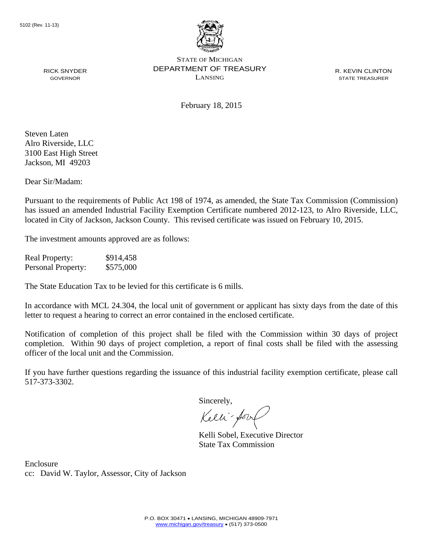

R. KEVIN CLINTON STATE TREASURER

February 18, 2015

Steven Laten Alro Riverside, LLC 3100 East High Street Jackson, MI 49203

RICK SNYDER GOVERNOR

Dear Sir/Madam:

Pursuant to the requirements of Public Act 198 of 1974, as amended, the State Tax Commission (Commission) has issued an amended Industrial Facility Exemption Certificate numbered 2012-123, to Alro Riverside, LLC, located in City of Jackson, Jackson County. This revised certificate was issued on February 10, 2015.

The investment amounts approved are as follows:

Real Property: \$914,458 Personal Property: \$575,000

The State Education Tax to be levied for this certificate is 6 mills.

In accordance with MCL 24.304, the local unit of government or applicant has sixty days from the date of this letter to request a hearing to correct an error contained in the enclosed certificate.

Notification of completion of this project shall be filed with the Commission within 30 days of project completion. Within 90 days of project completion, a report of final costs shall be filed with the assessing officer of the local unit and the Commission.

If you have further questions regarding the issuance of this industrial facility exemption certificate, please call 517-373-3302.

Sincerely,

Kelli-Sorr

Kelli Sobel, Executive Director State Tax Commission

Enclosure cc: David W. Taylor, Assessor, City of Jackson